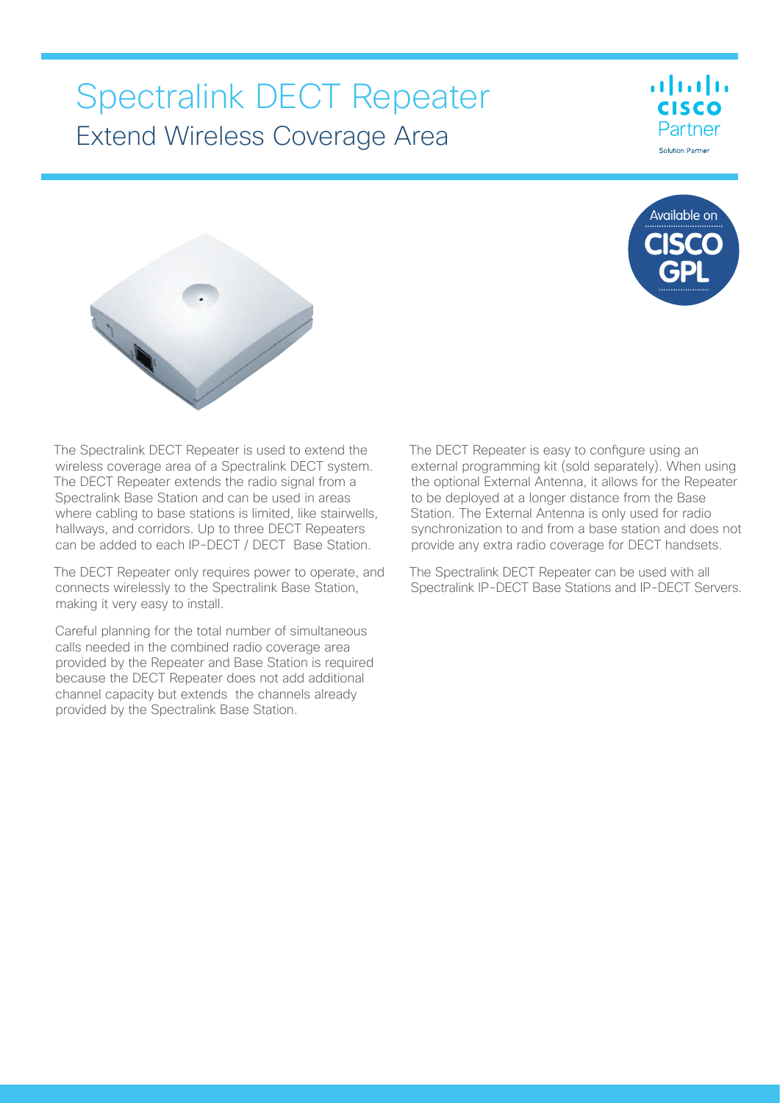# Spectralink DECT Repeater Extend Wireless Coverage Area



ahah **CISCO** Partner Solution Partner



The Spectralink DECT Repeater is used to extend the wireless coverage area of a Spectralink DECT system. The DECT Repeater extends the radio signal from a Spectralink Base Station and can be used in areas where cabling to base stations is limited, like stairwells, hallways, and corridors. Up to three DECT Repeaters can be added to each IP-DECT / DECT Base Station.

The DECT Repeater only requires power to operate, and connects wirelessly to the Spectralink Base Station, making it very easy to install.

Careful planning for the total number of simultaneous calls needed in the combined radio coverage area provided by the Repeater and Base Station is required because the DECT Repeater does not add additional channel capacity but extends the channels already provided by the Spectralink Base Station.

The DECT Repeater is easy to configure using an external programming kit (sold separately). When using the optional External Antenna, it allows for the Repeater to be deployed at a longer distance from the Base Station. The External Antenna is only used for radio synchronization to and from a base station and does not provide any extra radio coverage for DECT handsets.

The Spectralink DECT Repeater can be used with all Spectralink IP-DECT Base Stations and IP-DECT Servers.